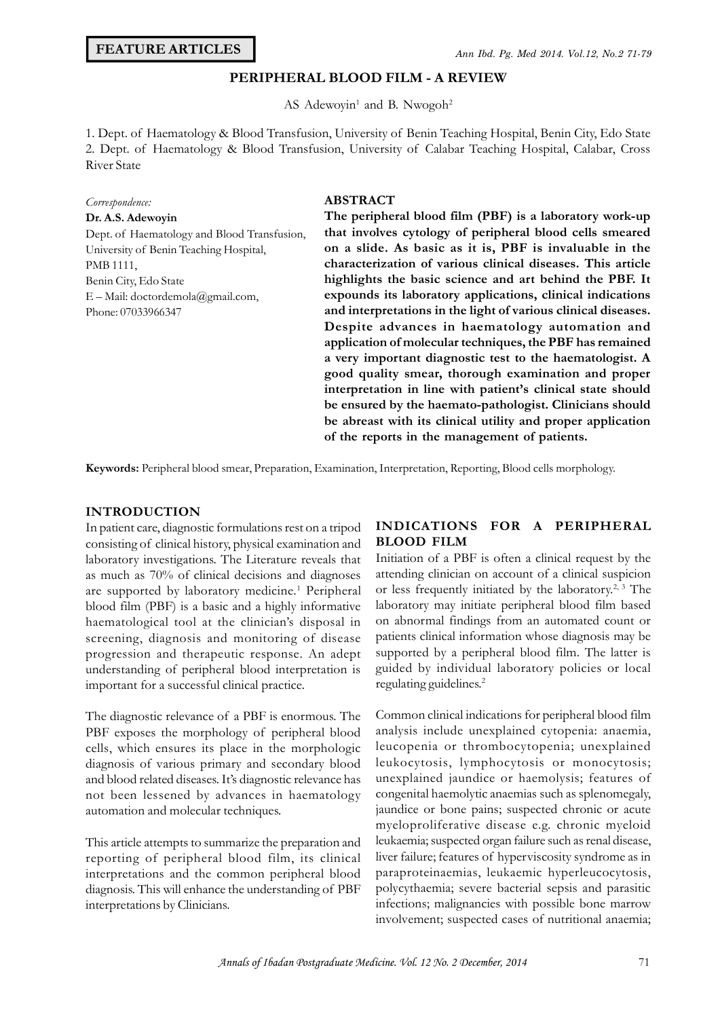## **PERIPHERAL BLOOD FILM - A REVIEW**

AS Adewoyin<sup>1</sup> and B. Nwogoh<sup>2</sup>

Ann Iba. Pg. Mea 2014. Vol.12, Ivo.2 71-79<br> **PERIPHERAL BLOOD FILM - A REVIEW**<br>
AS Adewoyin<sup>1</sup> and B. Nwogoh<sup>2</sup><br>
1. Dept. of Haematology & Blood Transfusion, University of Benin Teaching Hospital, Benin City, Edo State<br>
2. **PERIPHERAL BLOOD FILM - A REVIEW**<br>AS Adewoyin<sup>1</sup> and B. Nwogoh<sup>2</sup><br>1. Dept. of Haematology & Blood Transfusion, University of Benin Teaching Hospital, Benin City, Edo State<br>2. Dept. of Haematology & Blood Transfusion, Univ River State

# *Correspondence:*

# **Dr. A.S. Adewoyin**

River State<br>*Correspondence:*<br>**Dr. A.S. Adewoyin**<br>Dept. of Haematology and Blood Transfusion,<br>University of Benin Teaching Hospital, *Correspondence:*<br>**Dr. A.S. Adewoyin**<br>Dept. of Haematology and Blood Transfu:<br>University of Benin Teaching Hospital,<br>PMB 1111, PMB 1111, Benin City, Edo State E – Mail: doctordemola@gmail.com, Phone: 07033966347

#### **ABSTRACT**

**The peripheral blood film (PBF) is a laboratory work-up that involves cytology of peripheral blood cells smeared on a slide. As basic as it is, PBF is invaluable in the characterization of various clinical diseases. This article highlights the basic science and art behind the PBF. It expounds its laboratory applications, clinical indications and interpretations in the light of various clinical diseases. Despite advances in haematology automation and application of molecular techniques, the PBF has remained a very important diagnostic test to the haematologist. A good quality smear, thorough examination and proper interpretation in line with patient's clinical state should be ensured by the haemato-pathologist. Clinicians should be abreast with its clinical utility and proper application of the reports in the management of patients.**

#### **INTRODUCTION**

In patient care, diagnostic formulations rest on a tripod **Keywords:** Peripheral blood smear, Preparation, Examination, Interpretation, Reporting, Blood cells morphology.<br> **KEY INTRODUCTION**<br>
In patient care, diagnostic formulations rest on a tripod **INDICATIONS FOR A PERIPHER**<br> laboratory investigations. The Literature reveals that as much as 70% of clinical decisions and diagnoses are supported by laboratory medicine.<sup>1</sup> Peripheral of blood film (PBF) is a basic and a highly informative haematological tool at the clinician's disposal in screening, diagnosis and monitoring of disease progression and therapeutic response. An adept understanding of peripheral blood interpretation is important for a successful clinical practice.

The diagnostic relevance of a PBF is enormous. The PBF exposes the morphology of peripheral blood progression and therapeutic response. An adept suppo-<br>
understanding of peripheral blood interpretation is guided<br>
important for a successful clinical practice.<br>
The diagnostic relevance of a PBF is enormous. The Comm<br>
PBF cells, which ensures its place in the morphologic diagnosis of various primary and secondary blood and blood related diseases. It's diagnostic relevance has not been lessened by advances in haematology automation and molecular techniques.

This article attempts to summarize the preparation and leukaemia; suspected organ failure such as renal disease, reporting of peripheral blood film, its clinical liver failure; features of hyperviscosity syndrome as in reporting of peripheral blood film, its clinical interpretations and the common peripheral blood automation and molecular techniques.<br>
This article attempts to summarize the preparation and<br>
reporting of peripheral blood film, its clinical liver failure; fe<br>
interpretations and the common peripheral blood paraproteina interpretations by Clinicians.

### **INDICATIONS FOR A PERIPHERAL BLOOD FILM**

Initiation of a PBF is often a clinical request by the attending clinician on account of a clinical suspicion or less frequently initiated by the laboratory.2, 3 The laboratory may initiate peripheral blood film based on abnormal findings from an automated count or patients clinical information whose diagnosis may be supported by a peripheral blood film. The latter is guided by individual laboratory policies or local regulating guidelines.<sup>2</sup>

Common clinical indications for peripheral blood film analysis include unexplained cytopenia: anaemia, leucopenia or thrombocytopenia; unexplained leukocytosis, lymphocytosis or monocytosis; unexplained jaundice or haemolysis; features of congenital haemolytic anaemias such as splenomegaly, jaundice or bone pains; suspected chronic or acute myeloproliferative disease e.g. chronic myeloid leukaemia; suspected organ failure such as renal disease, unexplained jaundice or haemolysis; features of<br>congenital haemolytic anaemias such as splenomegaly,<br>jaundice or bone pains; suspected chronic or acute<br>myeloproliferative disease e.g. chronic myeloid<br>leukaemia; suspected o paraproteinaemias, leukaemic hyperleucocytosis, polycythaemia; severe bacterial sepsis and parasitic infections; malignancies with possible bone marrow involvement; suspected cases of nutritional anaemia;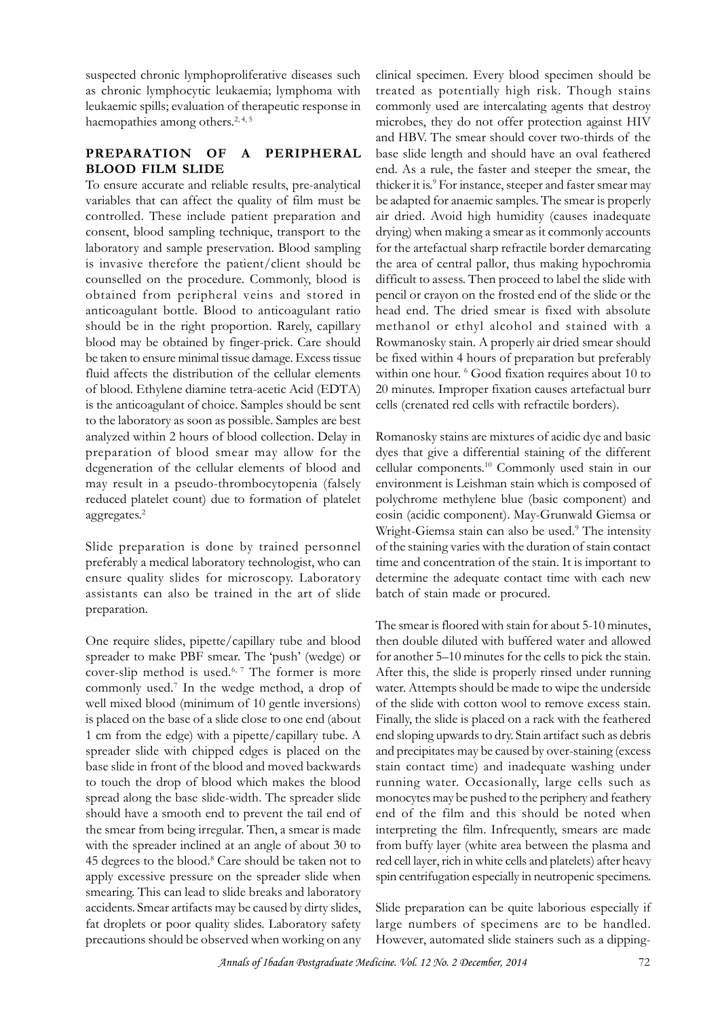suspected chronic lymphoproliferative diseases such as chronic lymphocytic leukaemia; lymphoma with leukaemic spills; evaluation of therapeutic response in haemopathies among others.<sup>2, 4, 5</sup>

## **PREPARATION OF A PERIPHERAL BLOOD FILM SLIDE**

To ensure accurate and reliable results, pre-analytical variables that can affect the quality of film must be controlled. These include patient preparation and consent, blood sampling technique, transport to the laboratory and sample preservation. Blood sampling is invasive therefore the patient/client should be counselled on the procedure. Commonly, blood is obtained from peripheral veins and stored in anticoagulant bottle. Blood to anticoagulant ratio should be in the right proportion. Rarely, capillary blood may be obtained by finger-prick. Care should be taken to ensure minimal tissue damage. Excess tissue fluid affects the distribution of the cellular elements of blood. Ethylene diamine tetra-acetic Acid (EDTA) is the anticoagulant of choice. Samples should be sent to the laboratory as soon as possible. Samples are best analyzed within 2 hours of blood collection. Delay in preparation of blood smear may allow for the degeneration of the cellular elements of blood and may result in a pseudo-thrombocytopenia (falsely to the laboratory as soon as possible. Samples are best<br>analyzed within 2 hours of blood collection. Delay in<br>Preparation of blood smear may allow for the dyes that<br>degeneration of the cellular elements of blood and cellul aggregates.<sup>2</sup>

Slide preparation is done by trained personnel preferably a medical laboratory technologist, who can ensure quality slides for microscopy. Laboratory assistants can also be trained in the art of slide preparation.

One require slides, pipette/capillary tube and blood spreader to make PBF smear. The 'push' (wedge) or cover-slip method is used.6, 7 The former is more commonly used.<sup>7</sup> In the wedge method, a drop of wat well mixed blood (minimum of 10 gentle inversions) is placed on the base of a slide close to one end (about 1 cm from the edge) with a pipette/capillary tube. A spreader slide with chipped edges is placed on the base slide in front of the blood and moved backwards to touch the drop of blood which makes the blood spread along the base slide-width. The spreader slide should have a smooth end to prevent the tail end of the smear from being irregular. Then, a smear is made with the spreader inclined at an angle of about 30 to 45 degrees to the blood.<sup>8</sup> Care should be taken not to red cell apply excessive pressure on the spreader slide when smearing. This can lead to slide breaks and laboratory accidents. Smear artifacts may be caused by dirty slides, fat droplets or poor quality slides. Laboratory safety precautions should be observed when working on any

clinical specimen. Every blood specimen should be treated as potentially high risk. Though stains commonly used are intercalating agents that destroy microbes, they do not offer protection against HIV clinical specimen. Every blood specimen should be<br>treated as potentially high risk. Though stains<br>commonly used are intercalating agents that destroy<br>microbes, they do not offer protection against HIV<br>and HBV. The smear sh base slide length and should have an oval feathered end. As a rule, the faster and steeper the smear, the thicker it is.<sup>9</sup> For instance, steeper and faster smear may be adapted for anaemic samples. The smear is properly air dried. Avoid high humidity (causes inadequate drying) when making a smear as it commonly accounts for the artefactual sharp refractile border demarcating the area of central pallor, thus making hypochromia difficult to assess. Then proceed to label the slide with pencil or crayon on the frosted end of the slide or the head end. The dried smear is fixed with absolute methanol or ethyl alcohol and stained with a Rowmanosky stain. A properly air dried smear should be fixed within 4 hours of preparation but preferably within one hour. <sup>6</sup> Good fixation requires about 10 to 20 minutes. Improper fixation causes artefactual burr cells (crenated red cells with refractile borders).

Romanosky stains are mixtures of acidic dye and basic dyes that give a differential staining of the different cellular components.<sup>10</sup> Commonly used stain in our environment is Leishman stain which is composed of polychrome methylene blue (basic component) and eosin (acidic component). May-Grunwald Giemsa or Wright-Giemsa stain can also be used.<sup>9</sup> The intensity of the staining varies with the duration of stain contact time and concentration of the stain. It is important to determine the adequate contact time with each new batch of stain made or procured.

The smear is floored with stain for about 5-10 minutes, then double diluted with buffered water and allowed for another 5–10 minutes for the cells to pick the stain. After this, the slide is properly rinsed under running water. Attempts should be made to wipe the underside of the slide with cotton wool to remove excess stain. Finally, the slide is placed on a rack with the feathered end sloping upwards to dry. Stain artifact such as debris and precipitates may be caused by over-staining (excess stain contact time) and inadequate washing under running water. Occasionally, large cells such as monocytes may be pushed to the periphery and feathery end of the film and this should be noted when interpreting the film. Infrequently, smears are made from buffy layer (white area between the plasma and red cell layer, rich in white cells and platelets) after heavy spin centrifugation especially in neutropenic specimens.

Slide preparation can be quite laborious especially if large numbers of specimens are to be handled. However, automated slide stainers such as a dipping-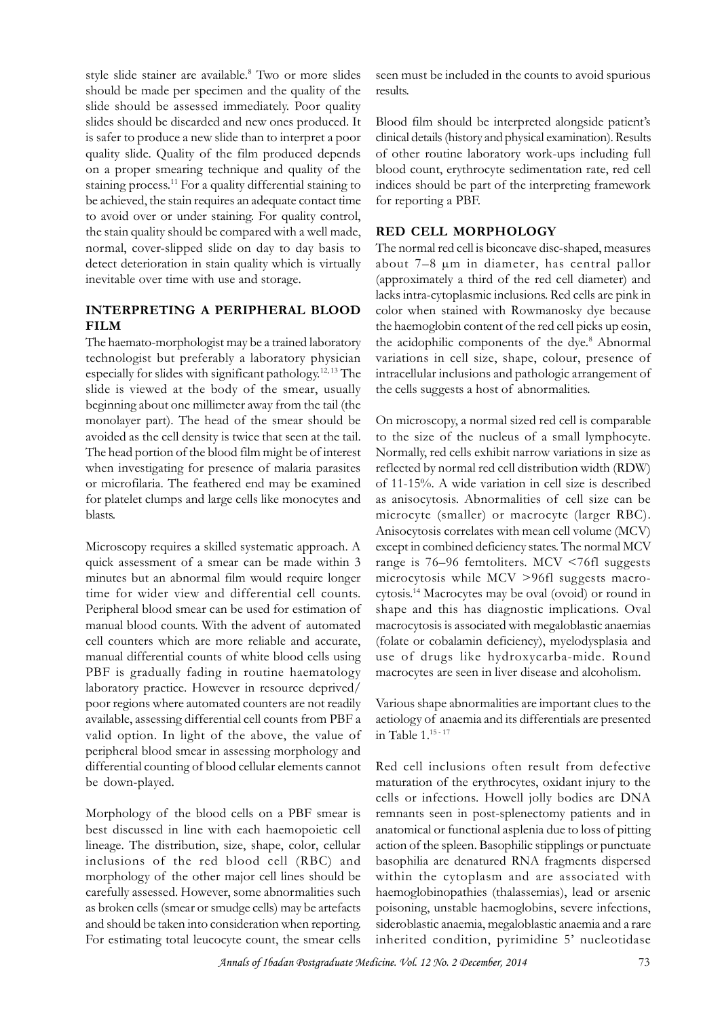style slide stainer are available.<sup>8</sup> Two or more slides seer should be made per specimen and the quality of the slide should be assessed immediately. Poor quality slides should be discarded and new ones produced. It is safer to produce a new slide than to interpret a poor quality slide. Quality of the film produced depends on a proper smearing technique and quality of the staining process.<sup>11</sup> For a quality differential staining to be achieved, the stain requires an adequate contact time to avoid over or under staining. For quality control, the stain quality should be compared with a well made, normal, cover-slipped slide on day to day basis to detect deterioration in stain quality which is virtually inevitable over time with use and storage.

## **INTERPRETING A PERIPHERAL BLOOD FILM**

The haemato-morphologist may be a trained laboratory technologist but preferably a laboratory physician especially for slides with significant pathology.12, 13 The slide is viewed at the body of the smear, usually the cells suggests a host of abnormalities. beginning about one millimeter away from the tail (the monolayer part). The head of the smear should be avoided as the cell density is twice that seen at the tail. The head portion of the blood film might be of interest when investigating for presence of malaria parasites or microfilaria. The feathered end may be examined for platelet clumps and large cells like monocytes and as anisocytosis. Abnormalities of cell size can be blasts.

Microscopy requires a skilled systematic approach. A quick assessment of a smear can be made within 3 minutes but an abnormal film would require longer time for wider view and differential cell counts. Peripheral blood smear can be used for estimation of Microscopy requires a skilled systematic approach. A except quick assessment of a smear can be made within 3 range ininutes but an abnormal film would require longer microc<br>time for wider view and differential cell counts. cell counters which are more reliable and accurate, manual differential counts of white blood cells using PBF is gradually fading in routine haematology laboratory practice. However in resource deprived/ poor regions where automated counters are not readily available, assessing differential cell counts from PBF a valid option. In light of the above, the value of peripheral blood smear in assessing morphology and differential counting of blood cellular elements cannot be down-played.

Morphology of the blood cells on a PBF smear is best discussed in line with each haemopoietic cell lineage. The distribution, size, shape, color, cellular inclusions of the red blood cell (RBC) and cells<br>
Morphology of the blood cells on a PBF smear is<br>
these discussed in line with each haemopoietic cell<br>
lines should actio<br>
inclusions of the red blood cell (RBC) and basor<br>
morphology of the other major cell lines sh carefully assessed. However, some abnormalities such as broken cells (smear or smudge cells) may be artefacts and should be taken into consideration when reporting. For estimating total leucocyte count, the smear cells

seen must be included in the counts to avoid spurious results.

Blood film should be interpreted alongside patient's clinical details (history and physical examination). Results of other routine laboratory work-ups including full blood count, erythrocyte sedimentation rate, red cell indices should be part of the interpreting framework for reporting a PBF.

# **RED CELL MORPHOLOGY**

The normal red cell is biconcave disc-shaped, measures about 7–8 µm in diameter, has central pallor (approximately a third of the red cell diameter) and lacks intra-cytoplasmic inclusions. Red cells are pink in color when stained with Rowmanosky dye because the haemoglobin content of the red cell picks up eosin, about 7–8  $\mu$ m in diameter, has central pallor<br>(approximately a third of the red cell diameter) and<br>lacks intra-cytoplasmic inclusions. Red cells are pink in<br>color when stained with Rowmanosky dye because<br>the haemoglobin the acidophilic components of the dye.<sup>8</sup> Abnormal variations in cell size, shape, colour, presence of intracellular inclusions and pathologic arrangement of color when stained with Rowmanosky dye bee<br>the haemoglobin content of the red cell picks up e<br>the acidophilic components of the dye.<sup>8</sup> Abnormalities.<br>variations in cell size, shape, colour, present<br>intracellular inclusion

On microscopy, a normal sized red cell is comparable to the size of the nucleus of a small lymphocyte. Normally, red cells exhibit narrow variations in size as reflected by normal red cell distribution width (RDW) of 11-15%. A wide variation in cell size is described On microscopy, a normal sized red cell is comparable<br>to the size of the nucleus of a small lymphocyte.<br>Normally, red cells exhibit narrow variations in size as<br>reflected by normal red cell distribution width (RDW)<br>of 11-15 microcyte (smaller) or macrocyte (larger RBC). Anisocytosis correlates with mean cell volume (MCV) except in combined deficiency states. The normal MCV range is 76–96 femtoliters. MCV <76fl suggests microcytosis while MCV >96fl suggests macrocytosis.<sup>14</sup> Macrocytes may be oval (ovoid) or round in shape and this has diagnostic implications. Oval macrocytosis is associated with megaloblastic anaemias (folate or cobalamin deficiency), myelodysplasia and use of drugs like hydroxycarba-mide. Round macrocytes are seen in liver disease and alcoholism.

Various shape abnormalities are important clues to the (tolate or cobalamin deficiency), myelodysplasia and<br>use of drugs like hydroxycarba-mide. Round<br>macrocytes are seen in liver disease and alcoholism.<br>Various shape abnormalities are important clues to the<br>aetiology of anaem in Table 1.15 - 17

Red cell inclusions often result from defective maturation of the erythrocytes, oxidant injury to the cells or infections. Howell jolly bodies are DNA remnants seen in post-splenectomy patients and in anatomical or functional asplenia due to loss of pitting action of the spleen. Basophilic stipplings or punctuate basophilia are denatured RNA fragments dispersed within the cytoplasm and are associated with haemoglobinopathies (thalassemias), lead or arsenic poisoning, unstable haemoglobins, severe infections, sideroblastic anaemia, megaloblastic anaemia and a rare inherited condition, pyrimidine 5' nucleotidase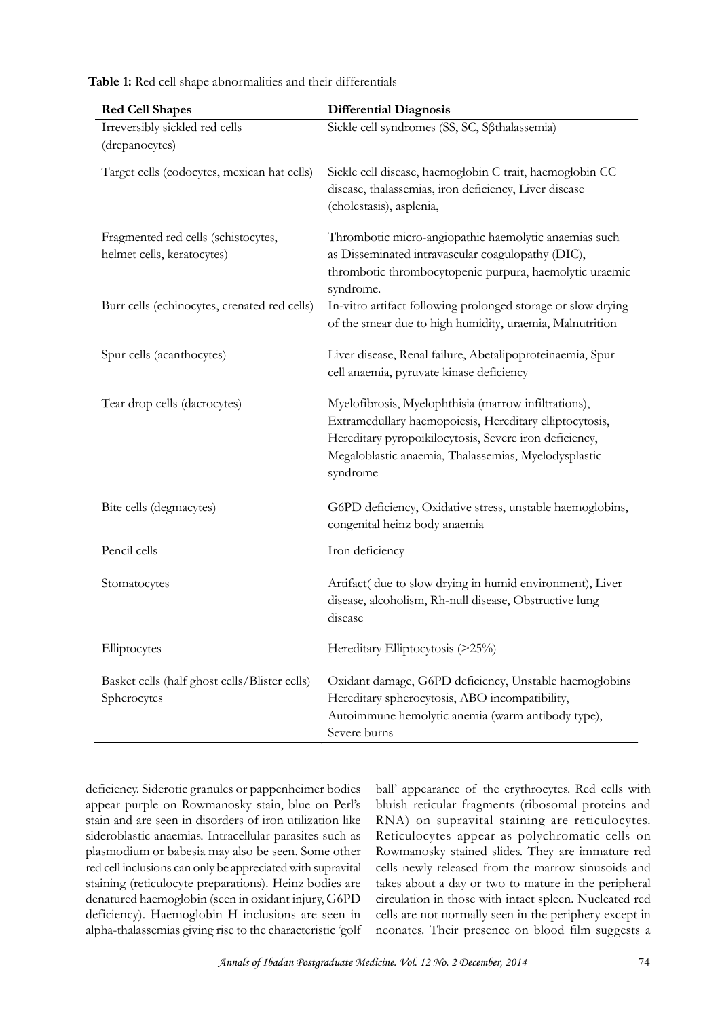| <b>Red Cell Shapes</b>                                            | <b>Differential Diagnosis</b>                                                                                                                                                                                                                 |
|-------------------------------------------------------------------|-----------------------------------------------------------------------------------------------------------------------------------------------------------------------------------------------------------------------------------------------|
| Irreversibly sickled red cells<br>(drepanocytes)                  | Sickle cell syndromes (SS, SC, Sßthalassemia)                                                                                                                                                                                                 |
| Target cells (codocytes, mexican hat cells)                       | Sickle cell disease, haemoglobin C trait, haemoglobin CC<br>disease, thalassemias, iron deficiency, Liver disease<br>(cholestasis), asplenia,                                                                                                 |
| Fragmented red cells (schistocytes,<br>helmet cells, keratocytes) | Thrombotic micro-angiopathic haemolytic anaemias such<br>as Disseminated intravascular coagulopathy (DIC),<br>thrombotic thrombocytopenic purpura, haemolytic uraemic<br>syndrome.                                                            |
| Burr cells (echinocytes, crenated red cells)                      | In-vitro artifact following prolonged storage or slow drying<br>of the smear due to high humidity, uraemia, Malnutrition                                                                                                                      |
| Spur cells (acanthocytes)                                         | Liver disease, Renal failure, Abetalipoproteinaemia, Spur<br>cell anaemia, pyruvate kinase deficiency                                                                                                                                         |
| Tear drop cells (dacrocytes)                                      | Myelofibrosis, Myelophthisia (marrow infiltrations),<br>Extramedullary haemopoiesis, Hereditary elliptocytosis,<br>Hereditary pyropoikilocytosis, Severe iron deficiency,<br>Megaloblastic anaemia, Thalassemias, Myelodysplastic<br>syndrome |
| Bite cells (degmacytes)                                           | G6PD deficiency, Oxidative stress, unstable haemoglobins,<br>congenital heinz body anaemia                                                                                                                                                    |
| Pencil cells                                                      | Iron deficiency                                                                                                                                                                                                                               |
| Stomatocytes                                                      | Artifact( due to slow drying in humid environment), Liver<br>disease, alcoholism, Rh-null disease, Obstructive lung<br>disease                                                                                                                |
| Elliptocytes                                                      | Hereditary Elliptocytosis (>25%)                                                                                                                                                                                                              |
| Basket cells (half ghost cells/Blister cells)<br>Spherocytes      | Oxidant damage, G6PD deficiency, Unstable haemoglobins<br>Hereditary spherocytosis, ABO incompatibility,<br>Autoimmune hemolytic anemia (warm antibody type),<br>Severe burns                                                                 |

**Table 1:** Red cell shape abnormalities and their differentials

appear purple on Rowmanosky stain, blue on Perl's stain and are seen in disorders of iron utilization like sideroblastic anaemias. Intracellular parasites such as plasmodium or babesia may also be seen. Some other red cell inclusions can only be appreciated with supravital staining (reticulocyte preparations). Heinz bodies are denatured haemoglobin (seen in oxidant injury, G6PD deficiency). Haemoglobin H inclusions are seen in alpha-thalassemias giving rise to the characteristic 'golf

deficiency. Siderotic granules or pappenheimer bodies ball' appearance of the erythrocytes. Red cells with nune hemolytic anemia (warm antibody type),<br>
hall' appearance of the erythrocytes. Red cells with<br>
bluish reticular fragments (ribosomal proteins and<br>
parta) bluish reticular fragments (ribosomal proteins and RNA) on supravital staining are reticulocytes. Reticulocytes appear as polychromatic cells on Rowmanosky stained slides. They are immature red cells newly released from the marrow sinusoids and takes about a day or two to mature in the peripheral circulation in those with intact spleen. Nucleated red cells are not normally seen in the periphery except in neonates. Their presence on blood film suggests a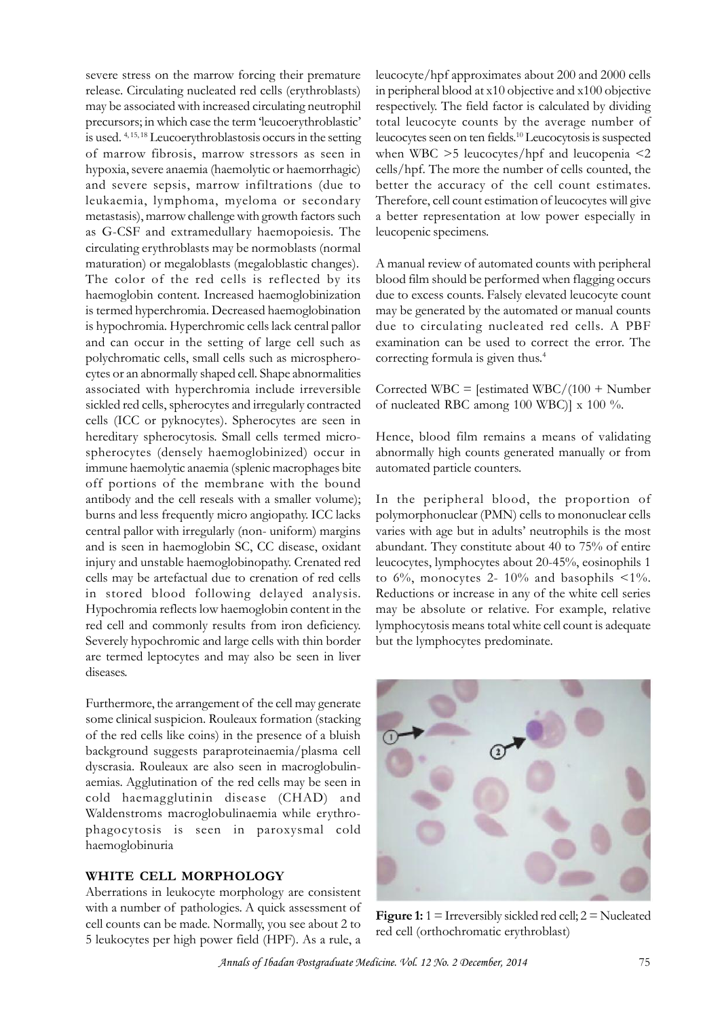severe stress on the marrow forcing their premature release. Circulating nucleated red cells (erythroblasts) may be associated with increased circulating neutrophil precursors; in which case the term 'leucoerythroblastic' is used. 4, 15, 18 Leucoerythroblastosis occurs in the setting of marrow fibrosis, marrow stressors as seen in hypoxia, severe anaemia (haemolytic or haemorrhagic) and severe sepsis, marrow infiltrations (due to better the accuracy of the cell count estimates. leukaemia, lymphoma, myeloma or secondary metastasis), marrow challenge with growth factors such as G-CSF and extramedullary haemopoiesis. The circulating erythroblasts may be normoblasts (normal maturation) or megaloblasts (megaloblastic changes). The color of the red cells is reflected by its haemoglobin content. Increased haemoglobinization is termed hyperchromia. Decreased haemoglobination is hypochromia. Hyperchromic cells lack central pallor and can occur in the setting of large cell such as polychromatic cells, small cells such as microspherocytes or an abnormally shaped cell. Shape abnormalities associated with hyperchromia include irreversible sickled red cells, spherocytes and irregularly contracted cells (ICC or pyknocytes). Spherocytes are seen in hereditary spherocytosis. Small cells termed microspherocytes (densely haemoglobinized) occur in immune haemolytic anaemia (splenic macrophages bite off portions of the membrane with the bound antibody and the cell reseals with a smaller volume); burns and less frequently micro angiopathy. ICC lacks central pallor with irregularly (non- uniform) margins and is seen in haemoglobin SC, CC disease, oxidant injury and unstable haemoglobinopathy. Crenated red cells may be artefactual due to crenation of red cells in stored blood following delayed analysis. Hypochromia reflects low haemoglobin content in the red cell and commonly results from iron deficiency. Severely hypochromic and large cells with thin border are termed leptocytes and may also be seen in liver diseases.

Furthermore, the arrangement of the cell may generate some clinical suspicion. Rouleaux formation (stacking of the red cells like coins) in the presence of a bluish background suggests paraproteinaemia/plasma cell dyscrasia. Rouleaux are also seen in macroglobulin-Furthermore, the arrangement of the cell may generate<br>some clinical suspicion. Rouleaux formation (stacking<br>of the red cells like coins) in the presence of a bluish<br>background suggests paraproteinaemia/plasma cell<br>dyscrasi cold haemagglutinin disease (CHAD) and Waldenstroms macroglobulinaemia while erythrophagocytosis is seen in paroxysmal cold haemoglobinuria

### **WHITE CELL MORPHOLOGY**

Aberrations in leukocyte morphology are consistent phagocytosis is seen in paroxysmal cold<br>haemoglobinuria<br>WHITE CELL MORPHOLOGY<br>Aberrations in leukocyte morphology are consistent<br>with a number of pathologies. A quick assessment of<br>cell counts can be made. Normally, you se 5 leukocytes per high power field (HPF). As a rule, a

leucocyte/hpf approximates about 200 and 2000 cells in peripheral blood at x10 objective and x100 objective respectively. The field factor is calculated by dividing total leucocyte counts by the average number of leucocytes seen on ten fields.<sup>10</sup> Leucocytosis is suspected when WBC >5 leucocytes/hpf and leucopenia <2 cells/hpf. The more the number of cells counted, the respectively. The field factor is calculated by dividing<br>total leucocyte counts by the average number of<br>leucocytes seen on ten fields.<sup>10</sup> Leucocytosis is suspected<br>when WBC  $>5$  leucocytes/hpf and leucopenia <2<br>cells/hp Therefore, cell count estimation of leucocytes will give a better representation at low power especially in leucopenic specimens.

A manual review of automated counts with peripheral blood film should be performed when flagging occurs due to excess counts. Falsely elevated leucocyte count may be generated by the automated or manual counts due to circulating nucleated red cells. A PBF examination can be used to correct the error. The correcting formula is given thus.<sup>4</sup>

Corrected WBC = [estimated WBC/ $(100 + \text{Number})$ of nucleated RBC among 100 WBC)] x 100 %.

Hence, blood film remains a means of validating abnormally high counts generated manually or from automated particle counters.

In the peripheral blood, the proportion of polymorphonuclear (PMN) cells to mononuclear cells varies with age but in adults' neutrophils is the most abundant. They constitute about 40 to 75% of entire leucocytes, lymphocytes about 20-45%, eosinophils 1 to  $6\%$ , monocytes 2-  $10\%$  and basophils <1%. Reductions or increase in any of the white cell series may be absolute or relative. For example, relative lymphocytosis means total white cell count is adequate but the lymphocytes predominate.



**Figure 1:** 1 = Irreversibly sickled red cell; 2 = Nucleated red cell (orthochromatic erythroblast)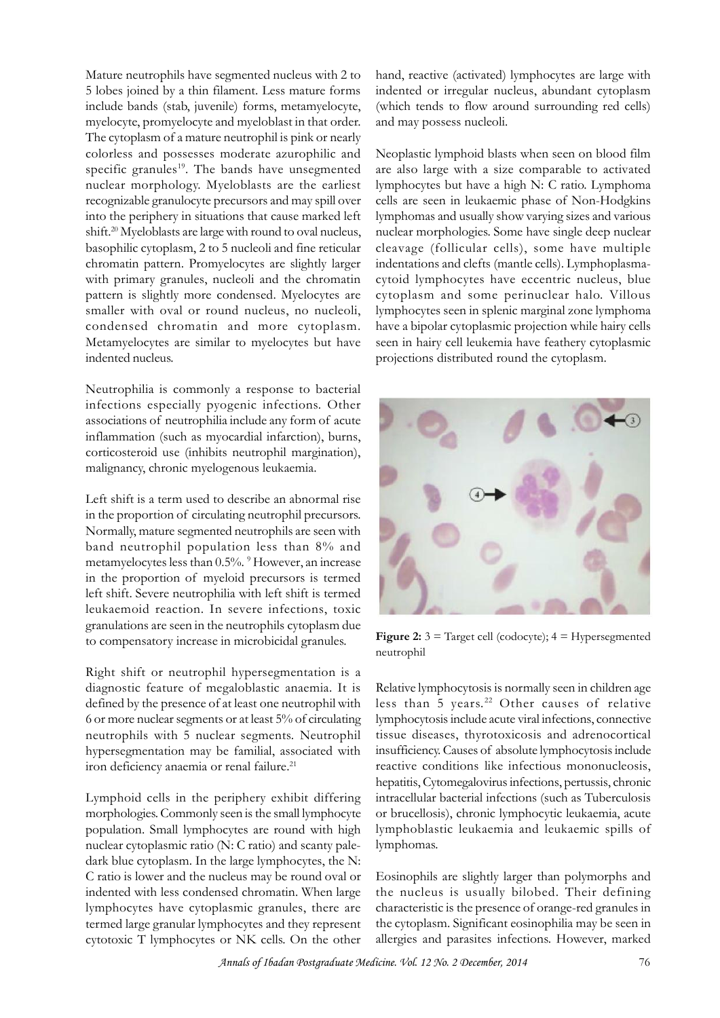Mature neutrophils have segmented nucleus with 2 to 5 lobes joined by a thin filament. Less mature forms include bands (stab, juvenile) forms, metamyelocyte, myelocyte, promyelocyte and myeloblast in that order. The cytoplasm of a mature neutrophil is pink or nearly colorless and possesses moderate azurophilic and specific granules<sup>19</sup>. The bands have unsegmented nuclear morphology. Myeloblasts are the earliest recognizable granulocyte precursors and may spill over into the periphery in situations that cause marked left shift.<sup>20</sup> Myeloblasts are large with round to oval nucleus, basophilic cytoplasm, 2 to 5 nucleoli and fine reticular chromatin pattern. Promyelocytes are slightly larger with primary granules, nucleoli and the chromatin pattern is slightly more condensed. Myelocytes are smaller with oval or round nucleus, no nucleoli, condensed chromatin and more cytoplasm. Metamyelocytes are similar to myelocytes but have indented nucleus.

Neutrophilia is commonly a response to bacterial infections especially pyogenic infections. Other Metamyelocytes are similar to myelocytes but have<br>indented nucleus.<br>Neutrophilia is commonly a response to bacterial<br>infections especially pyogenic infections. Other<br>associations of neutrophilia include any form of acute<br>i inflammation (such as myocardial infarction), burns, corticosteroid use (inhibits neutrophil margination), malignancy, chronic myelogenous leukaemia.

Left shift is a term used to describe an abnormal rise in thammation (such as myocardial infarction), burns,<br>corticosteroid use (inhibits neutrophil margination),<br>malignancy, chronic myelogenous leukaemia.<br>Left shift is a term used to describe an abnormal rise<br>in the proportio Normally, mature segmented neutrophils are seen with band neutrophil population less than 8% and metamyelocytes less than 0.5%. <sup>9</sup> However, an increase Lett shift is a term used to describe an abnormal rise<br>in the proportion of circulating neutrophil precursors.<br>Normally, mature segmented neutrophils are seen with<br>band neutrophil population less than 8% and<br>metamyelocytes left shift. Severe neutrophilia with left shift is termed leukaemoid reaction. In severe infections, toxic granulations are seen in the neutrophils cytoplasm due to compensatory increase in microbicidal granules.

Right shift or neutrophil hypersegmentation is a diagnostic feature of megaloblastic anaemia. It is defined by the presence of at least one neutrophil with less than 5 years.<sup>22</sup> Other causes of relative 6 or more nuclear segments or at least 5% of circulating neutrophils with 5 nuclear segments. Neutrophil hypersegmentation may be familial, associated with iron deficiency anaemia or renal failure.<sup>21</sup>

Lymphoid cells in the periphery exhibit differing morphologies. Commonly seen is the small lymphocyte population. Small lymphocytes are round with high nuclear cytoplasmic ratio (N: C ratio) and scanty paledark blue cytoplasm. In the large lymphocytes, the N: C ratio is lower and the nucleus may be round oval or indented with less condensed chromatin. When large lymphocytes have cytoplasmic granules, there are termed large granular lymphocytes and they represent cytotoxic T lymphocytes or NK cells. On the other

hand, reactive (activated) lymphocytes are large with indented or irregular nucleus, abundant cytoplasm (which tends to flow around surrounding red cells) and may possess nucleoli.

Neoplastic lymphoid blasts when seen on blood film are also large with a size comparable to activated lymphocytes but have a high N: C ratio. Lymphoma cells are seen in leukaemic phase of Non-Hodgkins lymphomas and usually show varying sizes and various nuclear morphologies. Some have single deep nuclear cleavage (follicular cells), some have multiple indentations and clefts (mantle cells). Lymphoplasmacytoid lymphocytes have eccentric nucleus, blue cytoplasm and some perinuclear halo. Villous lymphocytes seen in splenic marginal zone lymphoma have a bipolar cytoplasmic projection while hairy cells seen in hairy cell leukemia have feathery cytoplasmic projections distributed round the cytoplasm.



**Figure 2:**  $3 =$  Target cell (codocyte);  $4 =$  Hypersegmented neutrophil

Relative lymphocytosis is normally seen in children age Figure 2:  $3$  = Target cell (codocyte);  $4$  = Hypersegmented<br>neutrophil<br>Relative lymphocytosis is normally seen in children age<br>less than 5 years.<sup>22</sup> Other causes of relative<br>lymphocytosis include acute viral infections, lymphocytosis include acute viral infections, connective tissue diseases, thyrotoxicosis and adrenocortical insufficiency. Causes of absolute lymphocytosis include reactive conditions like infectious mononucleosis, hepatitis, Cytomegalovirus infections, pertussis, chronic intracellular bacterial infections (such as Tuberculosis or brucellosis), chronic lymphocytic leukaemia, acute lymphoblastic leukaemia and leukaemic spills of lymphomas.

Eosinophils are slightly larger than polymorphs and the nucleus is usually bilobed. Their defining characteristic is the presence of orange-red granules in the cytoplasm. Significant eosinophilia may be seen in allergies and parasites infections. However, marked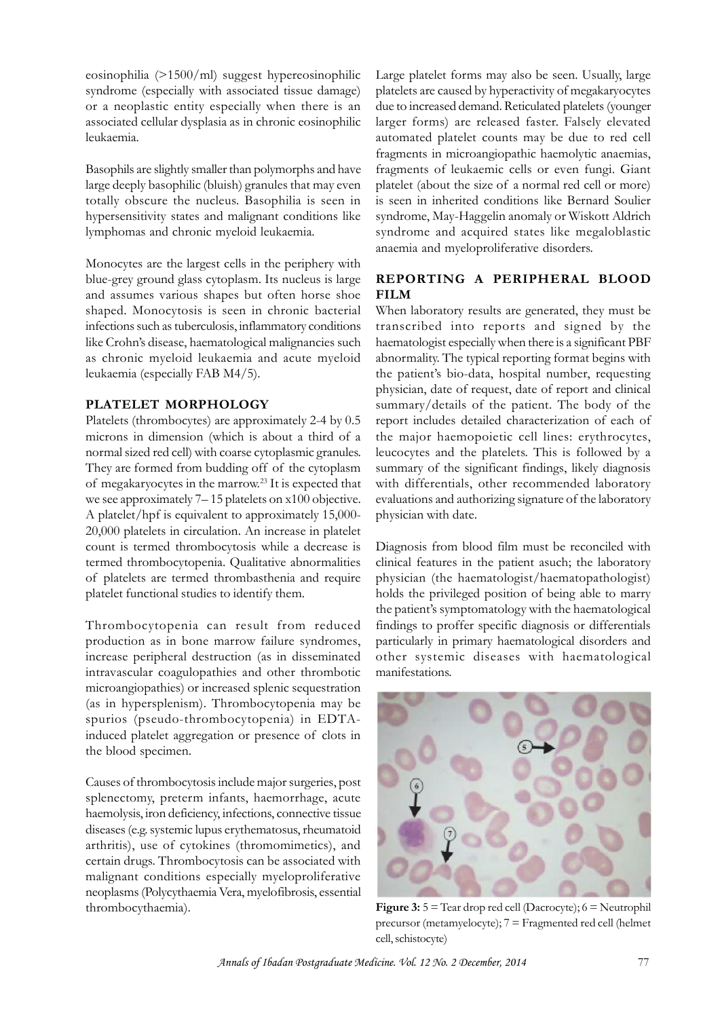eosinophilia (>1500/ml) suggest hypereosinophilic syndrome (especially with associated tissue damage) or a neoplastic entity especially when there is an associated cellular dysplasia as in chronic eosinophilic leukaemia.

Basophils are slightly smaller than polymorphs and have large deeply basophilic (bluish) granules that may even totally obscure the nucleus. Basophilia is seen in hypersensitivity states and malignant conditions like lymphomas and chronic myeloid leukaemia.

Monocytes are the largest cells in the periphery with blue-grey ground glass cytoplasm. Its nucleus is large and assumes various shapes but often horse shoe shaped. Monocytosis is seen in chronic bacterial infections such as tuberculosis, inflammatory conditions like Crohn's disease, haematological malignancies such as chronic myeloid leukaemia and acute myeloid leukaemia (especially FAB M4/5).

# **PLATELET MORPHOLOGY**

Platelets (thrombocytes) are approximately 2-4 by 0.5 microns in dimension (which is about a third of a normal sized red cell) with coarse cytoplasmic granules. They are formed from budding off of the cytoplasm<br>of megakaryocytes in the marrow.<sup>23</sup> It is expected that **PLATELET MORPHOLOGY**<br>
Platelets (thrombocytes) are approximately 2-4 by 0.5 rep<br>
microns in dimension (which is about a third of a<br>
normal sized red cell) with coarse cytoplasmic granules. let<br>
They are formed from buddi A platelet/hpf is equivalent to approximately 15,000- 20,000 platelets in circulation. An increase in platelet count is termed thrombocytosis while a decrease is termed thrombocytopenia. Qualitative abnormalities we see approximately /-15 platelets on x100 objective. evalue<br>
A platelet/hpf is equivalent to approximately 15,000-<br>
20,000 platelets in circulation. An increase in platelet<br>
count is termed thrombocytosis while a decreas platelet functional studies to identify them.

Thrombocytopenia can result from reduced production as in bone marrow failure syndromes, increase peripheral destruction (as in disseminated intravascular coagulopathies and other thrombotic microangiopathies) or increased splenic sequestration (as in hypersplenism). Thrombocytopenia may be spurios (pseudo-thrombocytopenia) in EDTAincrease peripheral destruction (as in disseminated other sy<br>intravascular coagulopathies and other thrombotic manifestat<br>microangiopathies) or increased splenic sequestration<br>(as in hypersplenism). Thrombocytopenia may be the blood specimen.

Causes of thrombocytosis include major surgeries, post splenectomy, preterm infants, haemorrhage, acute haemolysis, iron deficiency, infections, connective tissue diseases (e.g. systemic lupus erythematosus, rheumatoid arthritis), use of cytokines (thromomimetics), and certain drugs. Thrombocytosis can be associated with malignant conditions especially myeloproliferative neoplasms (Polycythaemia Vera, myelofibrosis, essential thrombocythaemia).

Large platelet forms may also be seen. Usually, large platelets are caused by hyperactivity of megakaryocytes due to increased demand. Reticulated platelets (younger larger forms) are released faster. Falsely elevated automated platelet counts may be due to red cell fragments in microangiopathic haemolytic anaemias, fragments of leukaemic cells or even fungi. Giant platelet (about the size of a normal red cell or more) is seen in inherited conditions like Bernard Soulier syndrome, May-Haggelin anomaly or Wiskott Aldrich syndrome and acquired states like megaloblastic anaemia and myeloproliferative disorders.

# **REPORTING A PERIPHERAL BLOOD FILM**

When laboratory results are generated, they must be transcribed into reports and signed by the haematologist especially when there is a significant PBF abnormality. The typical reporting format begins with the patient's bio-data, hospital number, requesting physician, date of request, date of report and clinical summary/details of the patient. The body of the report includes detailed characterization of each of the major haemopoietic cell lines: erythrocytes, leucocytes and the platelets. This is followed by a summary of the significant findings, likely diagnosis with differentials, other recommended laboratory evaluations and authorizing signature of the laboratory physician with date.

Diagnosis from blood film must be reconciled with clinical features in the patient asuch; the laboratory physician (the haematologist/haematopathologist) holds the privileged position of being able to marry the patient's symptomatology with the haematological findings to proffer specific diagnosis or differentials particularly in primary haematological disorders and other systemic diseases with haematological manifestations.



**Figure 3:** 5 = Tear drop red cell (Dacrocyte); 6 = Neutrophil precursor (metamyelocyte); 7 = Fragmented red cell (helmet cell, schistocyte)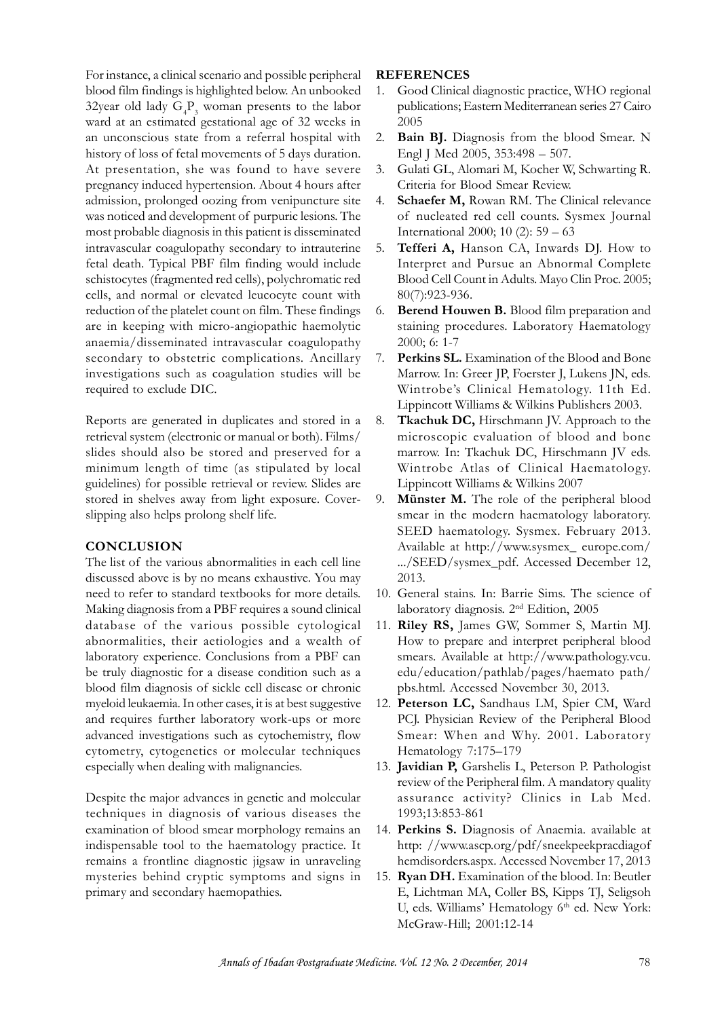For instance, a clinical scenario and possible peripheral blood film findings is highlighted below. An unbooked 1. 32year old lady  $G_4P_3$  woman presents to the labor ward at an estimated gestational age of 32 weeks in an unconscious state from a referral hospital with history of loss of fetal movements of 5 days duration. At presentation, she was found to have severe 3. pregnancy induced hypertension. About 4 hours after admission, prolonged oozing from venipuncture site an unconscious state from a reterral hospital with 2. Bat<br>history of loss of fetal movements of 5 days duration. Ex<br>At presentation, she was found to have severe 3. G<br>pregnancy induced hypertension. About 4 hours after Cr<br> intravascular coagulopathy secondary to intrauterine fetal death. Typical PBF film finding would include schistocytes (fragmented red cells), polychromatic red cells, and normal or elevated leucocyte count with reduction of the platelet count on film. These findings 6. are in keeping with micro-angiopathic haemolytic anaemia/disseminated intravascular coagulopathy secondary to obstetric complications. Ancillary 7. investigations such as coagulation studies will be required to exclude DIC.

Reports are generated in duplicates and stored in a retrieval system (electronic or manual or both). Films/ slides should also be stored and preserved for a minimum length of time (as stipulated by local guidelines) for possible retrieval or review. Slides are stored in shelves away from light exposure. Coverslipping also helps prolong shelf life. guidelines) for possible retrieval or review. Slides are<br>stored in shelves away from light exposure. Cover-<br>slipping also helps prolong shelf life.<br>**CONCLUSION**<br>The list of the various abnormalities in each cell line<br>discu

### **CONCLUSION**

need to refer to standard textbooks for more details. Making diagnosis from a PBF requires a sound clinical database of the various possible cytological abnormalities, their aetiologies and a wealth of laboratory experience. Conclusions from a PBF can be truly diagnostic for a disease condition such as a blood film diagnosis of sickle cell disease or chronic myeloid leukaemia. In other cases, it is at best suggestive and requires further laboratory work-ups or more PCJ. Physician Review of the Peripheral Blood advanced investigations such as cytochemistry, flow cytometry, cytogenetics or molecular techniques especially when dealing with malignancies.

Despite the major advances in genetic and molecular techniques in diagnosis of various diseases the expecially when dealing with malignancies. The especially when dealing with malignancies. The especially when dealing with malignancies. The examination of blood smear morphology remains an 14. Per indispensable tool to th indispensable tool to the haematology practice. It remains a frontline diagnostic jigsaw in unraveling mysteries behind cryptic symptoms and signs in primary and secondary haemopathies.

#### **REFERENCES**

- 1. Good Clinical diagnostic practice, WHO regional publications; Eastern Mediterranean series 27 Cairo 2005
- Bain BJ. Diagnosis from the blood Smear. N Engl J Med 2005, 353:498 – 507.
- 3. Gulati GL, Alomari M, Kocher W, Schwarting R. Criteria for Blood Smear Review.
- Schaefer M, Rowan RM. The Clinical relevance of nucleated red cell counts. Sysmex Journal International 2000; 10 (2): 59 – 63
- 5. **Tefferi A,** Hanson CA, Inwards DJ. How to Interpret and Pursue an Abnormal Complete Blood Cell Count in Adults. Mayo Clin Proc. 2005; 80(7):923-936.
- Berend Houwen B. Blood film preparation and staining procedures. Laboratory Haematology 2000; 6: 1-7
- Perkins SL. Examination of the Blood and Bone Marrow. In: Greer JP, Foerster J, Lukens JN, eds. Wintrobe's Clinical Hematology. 11th Ed. Lippincott Williams & Wilkins Publishers 2003.
- Tkachuk DC, Hirschmann JV. Approach to the microscopic evaluation of blood and bone marrow. In: Tkachuk DC, Hirschmann JV eds. Wintrobe's Clinical Hematology. 11th Ed.<br>Lippincott Williams & Wilkins Publishers 2003.<br>**Tkachuk DC,** Hirschmann JV. Approach to the<br>microscopic evaluation of blood and bone<br>marrow. In: Tkachuk DC, Hirschmann JV eds.<br>Wintr Lippincott Williams & Wilkins 2007
- 9. **Münster M.** The role of the peripheral blood smear in the modern haematology laboratory. SEED haematology. Sysmex. February 2013. Available at http://www.sysmex\_ europe.com/ .../SEED/sysmex\_pdf. Accessed December 12, 2013.
- 10. General stains. In: Barrie Sims. The science of laboratory diagnosis. 2nd Edition, 2005
- 11. **Riley RS,** James GW, Sommer S, Martin MJ. How to prepare and interpret peripheral blood smears. Available at http://www.pathology.vcu. edu/education/pathlab/pages/haemato path/ pbs.html. Accessed November 30, 2013. How to prepare and interpret peripheral blood<br>smears. Available at http://www.pathology.vcu.<br>edu/education/pathlab/pages/haemato path/<br>pbs.html. Accessed November 30, 2013.<br>**Peterson LC,** Sandhaus LM, Spier CM, Ward<br>PCJ. P
- 12. **Peterson LC,** Sandhaus LM, Spier CM, Ward Smear: When and Why. 2001. Laboratory Hematology 7:175–179
- 13. **Javidian P,** Garshelis L, Peterson P. Pathologist review of the Peripheral film. A mandatory quality assurance activity? Clinics in Lab Med. 1993;13:853-861
- 14. **Perkins S.** Diagnosis of Anaemia. available at http: //www.ascp.org/pdf/sneekpeekpracdiagof hemdisorders.aspx. Accessed November 17, 2013
- 15. **Ryan DH.** Examination of the blood. In: Beutler E, Lichtman MA, Coller BS, Kipps TJ, Seligsoh U, eds. Williams' Hematology 6<sup>th</sup> ed. New York: McGraw-Hill; 2001:12-14